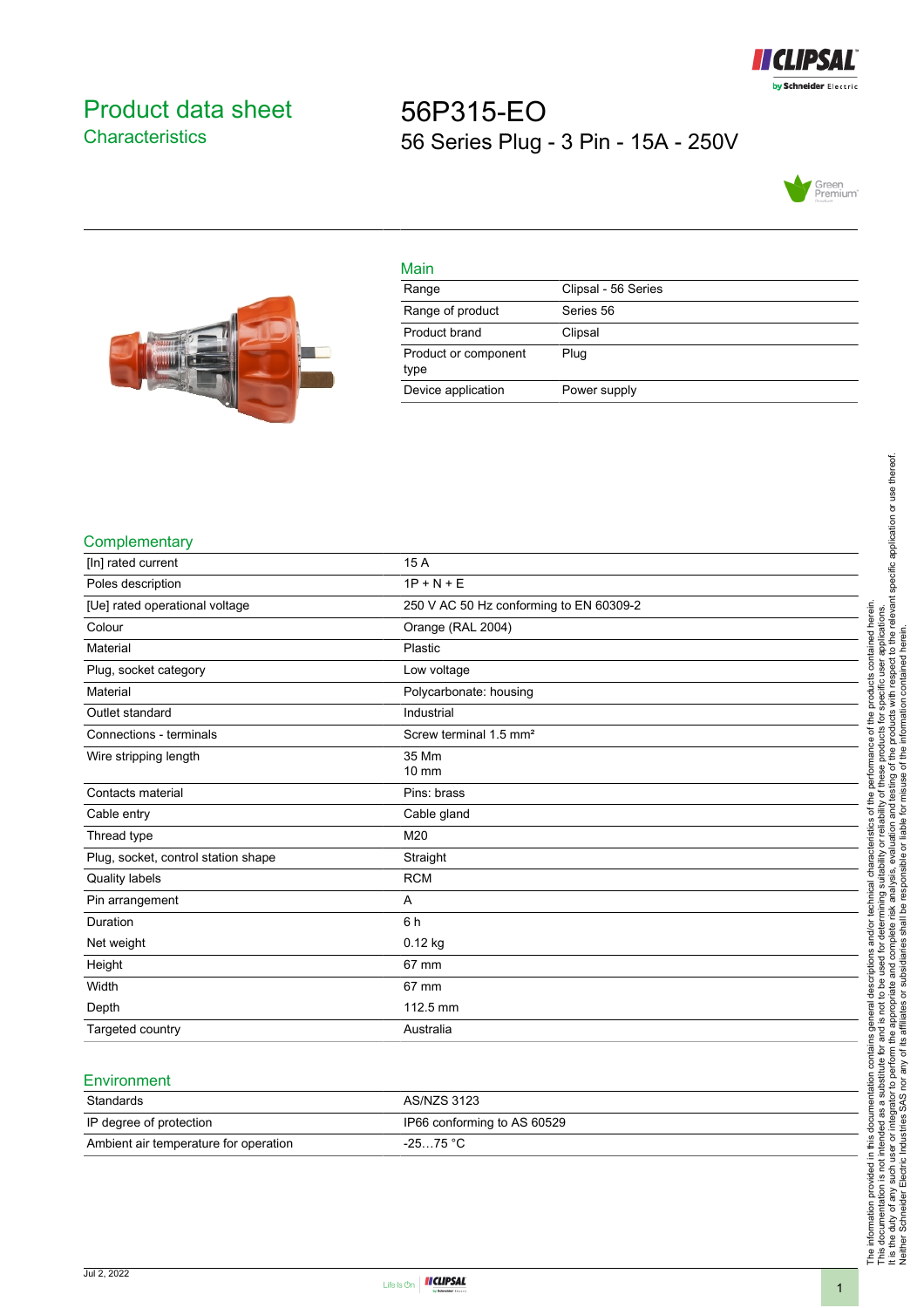

# <span id="page-0-0"></span>Product data sheet **Characteristics**

# 56P315-EO 56 Series Plug - 3 Pin - 15A - 250V





| Main                         |                     |
|------------------------------|---------------------|
| Range                        | Clipsal - 56 Series |
| Range of product             | Series 56           |
| Product brand                | Clipsal             |
| Product or component<br>type | Plug                |
| Device application           | Power supply        |

#### **Complementary**

| [In] rated current                  | 15 A                                    |
|-------------------------------------|-----------------------------------------|
| Poles description                   | $1P + N + E$                            |
| [Ue] rated operational voltage      | 250 V AC 50 Hz conforming to EN 60309-2 |
| Colour                              | Orange (RAL 2004)                       |
| Material                            | Plastic                                 |
| Plug, socket category               | Low voltage                             |
| Material                            | Polycarbonate: housing                  |
| Outlet standard                     | Industrial                              |
| Connections - terminals             | Screw terminal 1.5 mm <sup>2</sup>      |
| Wire stripping length               | 35 Mm<br>$10 \text{ mm}$                |
|                                     |                                         |
| Contacts material                   | Pins: brass                             |
| Cable entry                         | Cable gland                             |
| Thread type                         | M20                                     |
| Plug, socket, control station shape | Straight                                |
| <b>Quality labels</b>               | <b>RCM</b>                              |
| Pin arrangement                     | A                                       |
| Duration                            | 6 h                                     |
| Net weight                          | $0.12$ kg                               |
| Height                              | 67 mm                                   |
| Width                               | 67 mm                                   |
| Depth                               | 112.5 mm                                |
| Targeted country                    | Australia                               |

## **Environment**

| Standards                             | AS/NZS 3123                 |
|---------------------------------------|-----------------------------|
| IP degree of protection               | IP66 conforming to AS 60529 |
| Ambient air temperature for operation | $-2575 °C$                  |